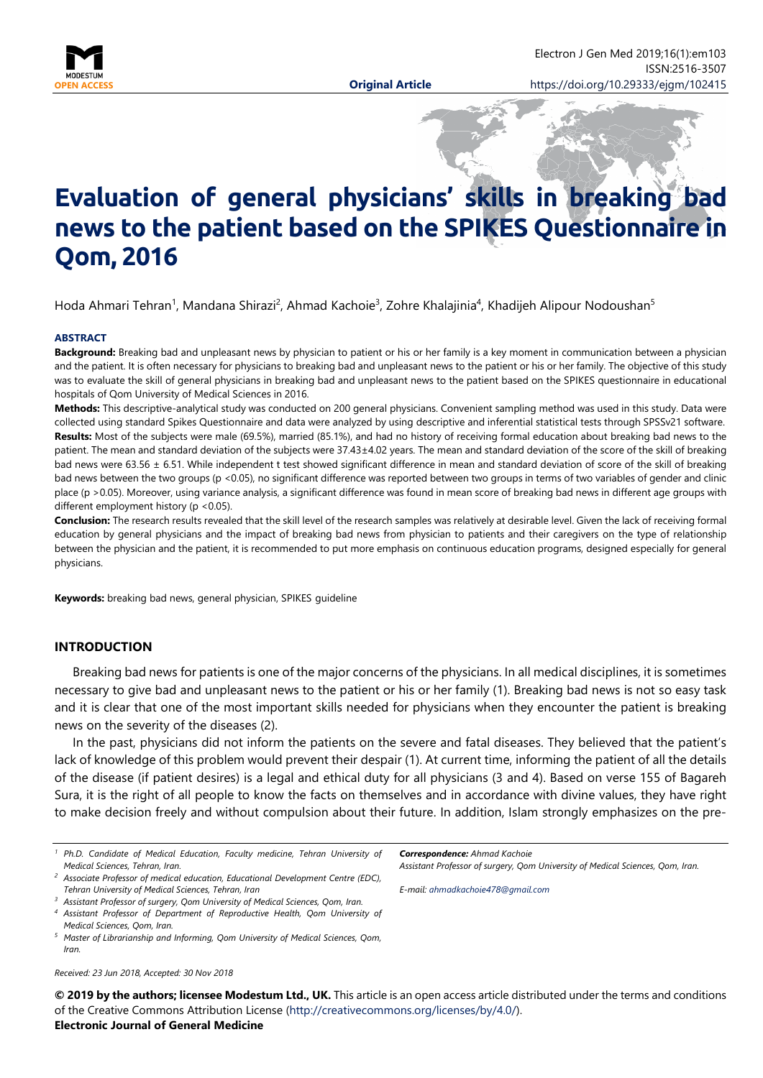

# **Evaluation of general physicians' skills in breaking bad news to the patient based on the SPIKES Questionnaire in Qom, 2016**

Hoda Ahmari Tehran<sup>1</sup>, Mandana Shirazi<sup>2</sup>, Ahmad Kachoie<sup>3</sup>, Zohre Khalajinia<sup>4</sup>, Khadijeh Alipour Nodoushan<sup>5</sup>

#### **ABSTRACT**

**Background:** Breaking bad and unpleasant news by physician to patient or his or her family is a key moment in communication between a physician and the patient. It is often necessary for physicians to breaking bad and unpleasant news to the patient or his or her family. The objective of this study was to evaluate the skill of general physicians in breaking bad and unpleasant news to the patient based on the SPIKES questionnaire in educational hospitals of Qom University of Medical Sciences in 2016.

**Methods:** This descriptive-analytical study was conducted on 200 general physicians. Convenient sampling method was used in this study. Data were collected using standard Spikes Questionnaire and data were analyzed by using descriptive and inferential statistical tests through SPSSv21 software. **Results:** Most of the subjects were male (69.5%), married (85.1%), and had no history of receiving formal education about breaking bad news to the patient. The mean and standard deviation of the subjects were 37.43±4.02 years. The mean and standard deviation of the score of the skill of breaking bad news were 63.56 ± 6.51. While independent t test showed significant difference in mean and standard deviation of score of the skill of breaking bad news between the two groups (p <0.05), no significant difference was reported between two groups in terms of two variables of gender and clinic place (p >0.05). Moreover, using variance analysis, a significant difference was found in mean score of breaking bad news in different age groups with different employment history (p <0.05).

**Conclusion:** The research results revealed that the skill level of the research samples was relatively at desirable level. Given the lack of receiving formal education by general physicians and the impact of breaking bad news from physician to patients and their caregivers on the type of relationship between the physician and the patient, it is recommended to put more emphasis on continuous education programs, designed especially for general physicians.

**Keywords:** breaking bad news, general physician, SPIKES guideline

#### **INTRODUCTION**

Breaking bad news for patients is one of the major concerns of the physicians. In all medical disciplines, it is sometimes necessary to give bad and unpleasant news to the patient or his or her family (1). Breaking bad news is not so easy task and it is clear that one of the most important skills needed for physicians when they encounter the patient is breaking news on the severity of the diseases (2).

In the past, physicians did not inform the patients on the severe and fatal diseases. They believed that the patient's lack of knowledge of this problem would prevent their despair (1). At current time, informing the patient of all the details of the disease (if patient desires) is a legal and ethical duty for all physicians (3 and 4). Based on verse 155 of Bagareh Sura, it is the right of all people to know the facts on themselves and in accordance with divine values, they have right to make decision freely and without compulsion about their future. In addition, Islam strongly emphasizes on the pre-

*Received: 23 Jun 2018, Accepted: 30 Nov 2018*

*Correspondence: Ahmad Kachoie*

*Assistant Professor of surgery, Qom University of Medical Sciences, Qom, Iran.*

*E-mail: [ahmadkachoie478@gmail.com](mailto:ahmadkachoie478@gmail.com)*

**© 2019 by the authors; licensee Modestum Ltd., UK.** This article is an open access article distributed under the terms and conditions of the Creative Commons Attribution License [\(http://creativecommons.org/licenses/by/4.0/\)](http://creativecommons.org/licenses/by/4.0/).

**Electronic Journal of General Medicine**

*<sup>1</sup> Ph.D. Candidate of Medical Education, Faculty medicine, Tehran University of Medical Sciences, Tehran, Iran.*

*<sup>2</sup> Associate Professor of medical education, Educational Development Centre (EDC), Tehran University of Medical Sciences, Tehran, Iran*

*<sup>3</sup> Assistant Professor of surgery, Qom University of Medical Sciences, Qom, Iran.*

*<sup>4</sup> Assistant Professor of Department of Reproductive Health, Qom University of Medical Sciences, Qom, Iran.*

*<sup>5</sup> Master of Librarianship and Informing, Qom University of Medical Sciences, Qom, Iran.*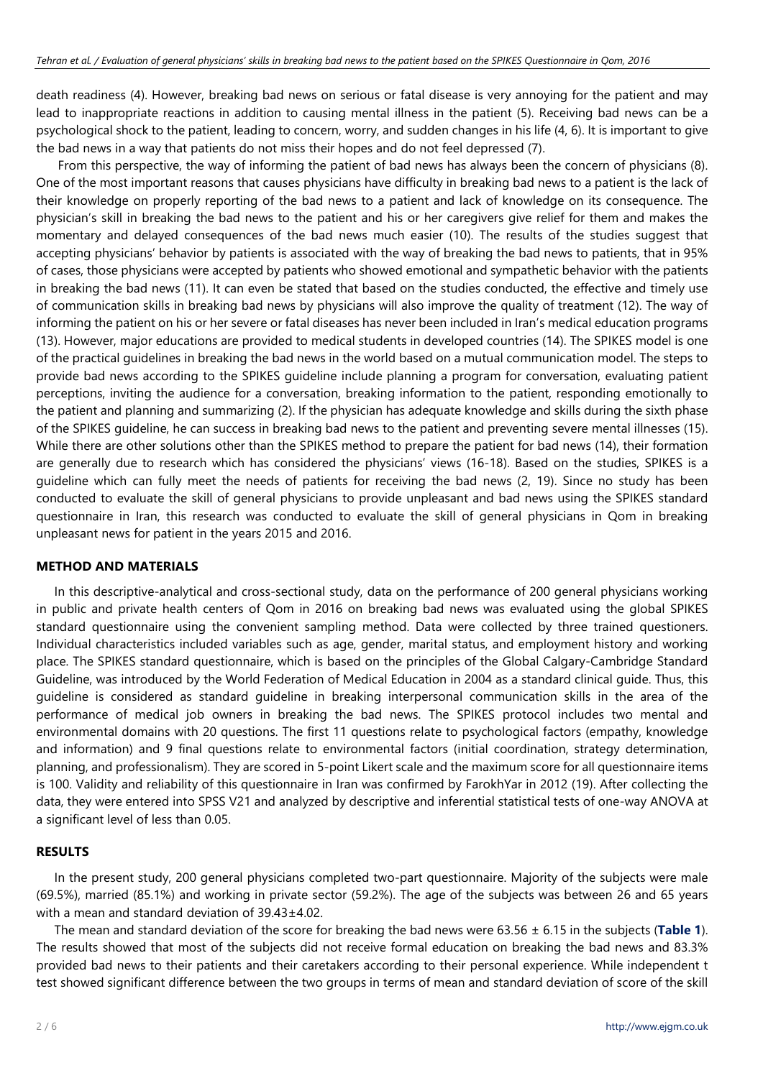death readiness (4). However, breaking bad news on serious or fatal disease is very annoying for the patient and may lead to inappropriate reactions in addition to causing mental illness in the patient (5). Receiving bad news can be a psychological shock to the patient, leading to concern, worry, and sudden changes in his life (4, 6). It is important to give the bad news in a way that patients do not miss their hopes and do not feel depressed (7).

From this perspective, the way of informing the patient of bad news has always been the concern of physicians (8). One of the most important reasons that causes physicians have difficulty in breaking bad news to a patient is the lack of their knowledge on properly reporting of the bad news to a patient and lack of knowledge on its consequence. The physician's skill in breaking the bad news to the patient and his or her caregivers give relief for them and makes the momentary and delayed consequences of the bad news much easier (10). The results of the studies suggest that accepting physicians' behavior by patients is associated with the way of breaking the bad news to patients, that in 95% of cases, those physicians were accepted by patients who showed emotional and sympathetic behavior with the patients in breaking the bad news (11). It can even be stated that based on the studies conducted, the effective and timely use of communication skills in breaking bad news by physicians will also improve the quality of treatment (12). The way of informing the patient on his or her severe or fatal diseases has never been included in Iran's medical education programs (13). However, major educations are provided to medical students in developed countries (14). The SPIKES model is one of the practical guidelines in breaking the bad news in the world based on a mutual communication model. The steps to provide bad news according to the SPIKES guideline include planning a program for conversation, evaluating patient perceptions, inviting the audience for a conversation, breaking information to the patient, responding emotionally to the patient and planning and summarizing (2). If the physician has adequate knowledge and skills during the sixth phase of the SPIKES guideline, he can success in breaking bad news to the patient and preventing severe mental illnesses (15). While there are other solutions other than the SPIKES method to prepare the patient for bad news (14), their formation are generally due to research which has considered the physicians' views (16-18). Based on the studies, SPIKES is a guideline which can fully meet the needs of patients for receiving the bad news (2, 19). Since no study has been conducted to evaluate the skill of general physicians to provide unpleasant and bad news using the SPIKES standard questionnaire in Iran, this research was conducted to evaluate the skill of general physicians in Qom in breaking unpleasant news for patient in the years 2015 and 2016.

### **METHOD AND MATERIALS**

In this descriptive-analytical and cross-sectional study, data on the performance of 200 general physicians working in public and private health centers of Qom in 2016 on breaking bad news was evaluated using the global SPIKES standard questionnaire using the convenient sampling method. Data were collected by three trained questioners. Individual characteristics included variables such as age, gender, marital status, and employment history and working place. The SPIKES standard questionnaire, which is based on the principles of the Global Calgary-Cambridge Standard Guideline, was introduced by the World Federation of Medical Education in 2004 as a standard clinical guide. Thus, this guideline is considered as standard guideline in breaking interpersonal communication skills in the area of the performance of medical job owners in breaking the bad news. The SPIKES protocol includes two mental and environmental domains with 20 questions. The first 11 questions relate to psychological factors (empathy, knowledge and information) and 9 final questions relate to environmental factors (initial coordination, strategy determination, planning, and professionalism). They are scored in 5-point Likert scale and the maximum score for all questionnaire items is 100. Validity and reliability of this questionnaire in Iran was confirmed by FarokhYar in 2012 (19). After collecting the data, they were entered into SPSS V21 and analyzed by descriptive and inferential statistical tests of one-way ANOVA at a significant level of less than 0.05.

#### **RESULTS**

In the present study, 200 general physicians completed two-part questionnaire. Majority of the subjects were male (69.5%), married (85.1%) and working in private sector (59.2%). The age of the subjects was between 26 and 65 years with a mean and standard deviation of 39.43±4.02.

The mean and standard deviation of the score for breaking the bad news were 63.56 ± 6.15 in the subjects (**Table 1**). The results showed that most of the subjects did not receive formal education on breaking the bad news and 83.3% provided bad news to their patients and their caretakers according to their personal experience. While independent t test showed significant difference between the two groups in terms of mean and standard deviation of score of the skill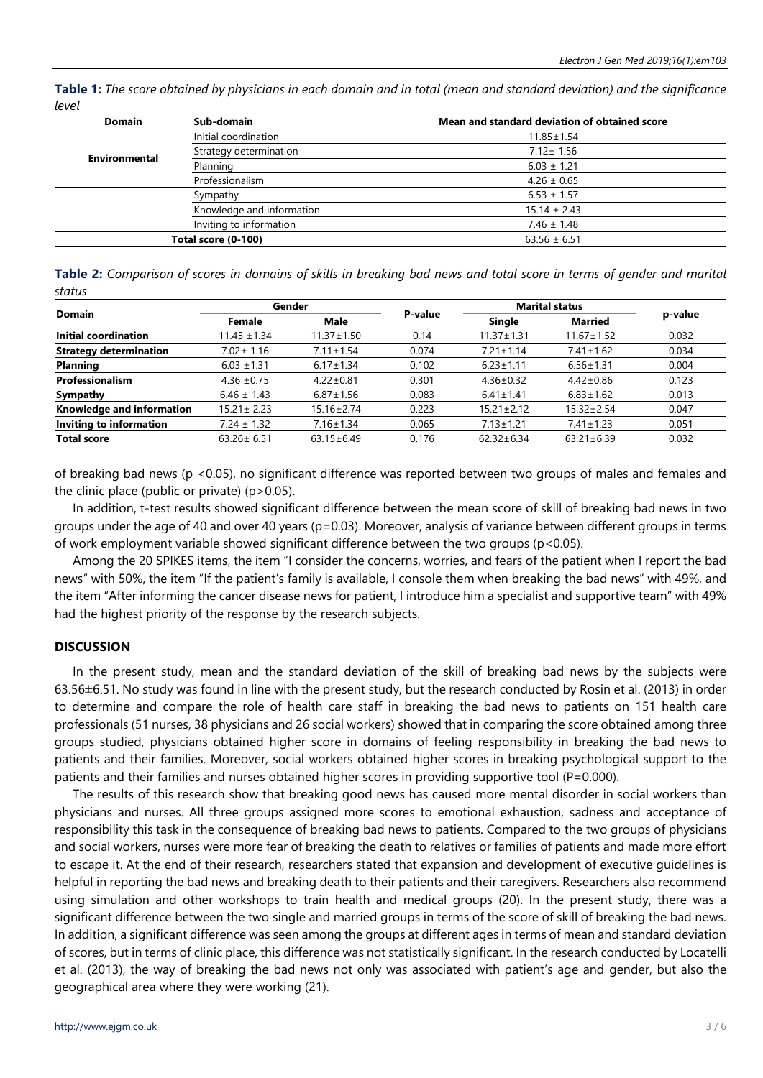**Table 1:** *The score obtained by physicians in each domain and in total (mean and standard deviation) and the significance level*

| Sub-domain                | Mean and standard deviation of obtained score |  |  |  |
|---------------------------|-----------------------------------------------|--|--|--|
| Initial coordination      | $11.85 \pm 1.54$                              |  |  |  |
| Strategy determination    | $7.12 \pm 1.56$                               |  |  |  |
| Planning                  | $6.03 \pm 1.21$                               |  |  |  |
| Professionalism           | $4.26 \pm 0.65$                               |  |  |  |
| Sympathy                  | $6.53 \pm 1.57$                               |  |  |  |
| Knowledge and information | $15.14 \pm 2.43$                              |  |  |  |
| Inviting to information   | $7.46 \pm 1.48$                               |  |  |  |
| Total score (0-100)       | $63.56 \pm 6.51$                              |  |  |  |
|                           |                                               |  |  |  |

**Table 2:** *Comparison of scores in domains of skills in breaking bad news and total score in terms of gender and marital status*

| <b>Domain</b>                    | Gender           |                  |         | <b>Marital status</b> |                  |         |
|----------------------------------|------------------|------------------|---------|-----------------------|------------------|---------|
|                                  | Female           | Male             | P-value | Single                | <b>Married</b>   | p-value |
| Initial coordination             | $11.45 \pm 1.34$ | $11.37 \pm 1.50$ | 0.14    | $11.37 \pm 1.31$      | $11.67 \pm 1.52$ | 0.032   |
| <b>Strategy determination</b>    | $7.02 \pm 1.16$  | $7.11 \pm 1.54$  | 0.074   | $7.21 \pm 1.14$       | $7.41 \pm 1.62$  | 0.034   |
| <b>Planning</b>                  | $6.03 \pm 1.31$  | $6.17 \pm 1.34$  | 0.102   | $6.23 \pm 1.11$       | $6.56 \pm 1.31$  | 0.004   |
| <b>Professionalism</b>           | $4.36 \pm 0.75$  | $4.22 \pm 0.81$  | 0.301   | $4.36 \pm 0.32$       | $4.42 \pm 0.86$  | 0.123   |
| Sympathy                         | $6.46 \pm 1.43$  | $6.87 \pm 1.56$  | 0.083   | $6.41 \pm 1.41$       | $6.83 \pm 1.62$  | 0.013   |
| <b>Knowledge and information</b> | $15.21 \pm 2.23$ | $15.16 \pm 2.74$ | 0.223   | $15.21 \pm 2.12$      | $15.32 \pm 2.54$ | 0.047   |
| <b>Inviting to information</b>   | $7.24 \pm 1.32$  | $7.16 \pm 1.34$  | 0.065   | $7.13 \pm 1.21$       | $7.41 \pm 1.23$  | 0.051   |
| <b>Total score</b>               | $63.26 \pm 6.51$ | $63.15 \pm 6.49$ | 0.176   | $62.32 \pm 6.34$      | $63.21 \pm 6.39$ | 0.032   |

of breaking bad news (p <0.05), no significant difference was reported between two groups of males and females and the clinic place (public or private) (p>0.05).

In addition, t-test results showed significant difference between the mean score of skill of breaking bad news in two groups under the age of 40 and over 40 years (p=0.03). Moreover, analysis of variance between different groups in terms of work employment variable showed significant difference between the two groups (p<0.05).

Among the 20 SPIKES items, the item "I consider the concerns, worries, and fears of the patient when I report the bad news" with 50%, the item "If the patient's family is available, I console them when breaking the bad news" with 49%, and the item "After informing the cancer disease news for patient, I introduce him a specialist and supportive team" with 49% had the highest priority of the response by the research subjects.

## **DISCUSSION**

In the present study, mean and the standard deviation of the skill of breaking bad news by the subjects were 63.56±6.51. No study was found in line with the present study, but the research conducted by Rosin et al. (2013) in order to determine and compare the role of health care staff in breaking the bad news to patients on 151 health care professionals (51 nurses, 38 physicians and 26 social workers) showed that in comparing the score obtained among three groups studied, physicians obtained higher score in domains of feeling responsibility in breaking the bad news to patients and their families. Moreover, social workers obtained higher scores in breaking psychological support to the patients and their families and nurses obtained higher scores in providing supportive tool (P=0.000).

The results of this research show that breaking good news has caused more mental disorder in social workers than physicians and nurses. All three groups assigned more scores to emotional exhaustion, sadness and acceptance of responsibility this task in the consequence of breaking bad news to patients. Compared to the two groups of physicians and social workers, nurses were more fear of breaking the death to relatives or families of patients and made more effort to escape it. At the end of their research, researchers stated that expansion and development of executive guidelines is helpful in reporting the bad news and breaking death to their patients and their caregivers. Researchers also recommend using simulation and other workshops to train health and medical groups (20). In the present study, there was a significant difference between the two single and married groups in terms of the score of skill of breaking the bad news. In addition, a significant difference was seen among the groups at different ages in terms of mean and standard deviation of scores, but in terms of clinic place, this difference was not statistically significant. In the research conducted by Locatelli et al. (2013), the way of breaking the bad news not only was associated with patient's age and gender, but also the geographical area where they were working (21).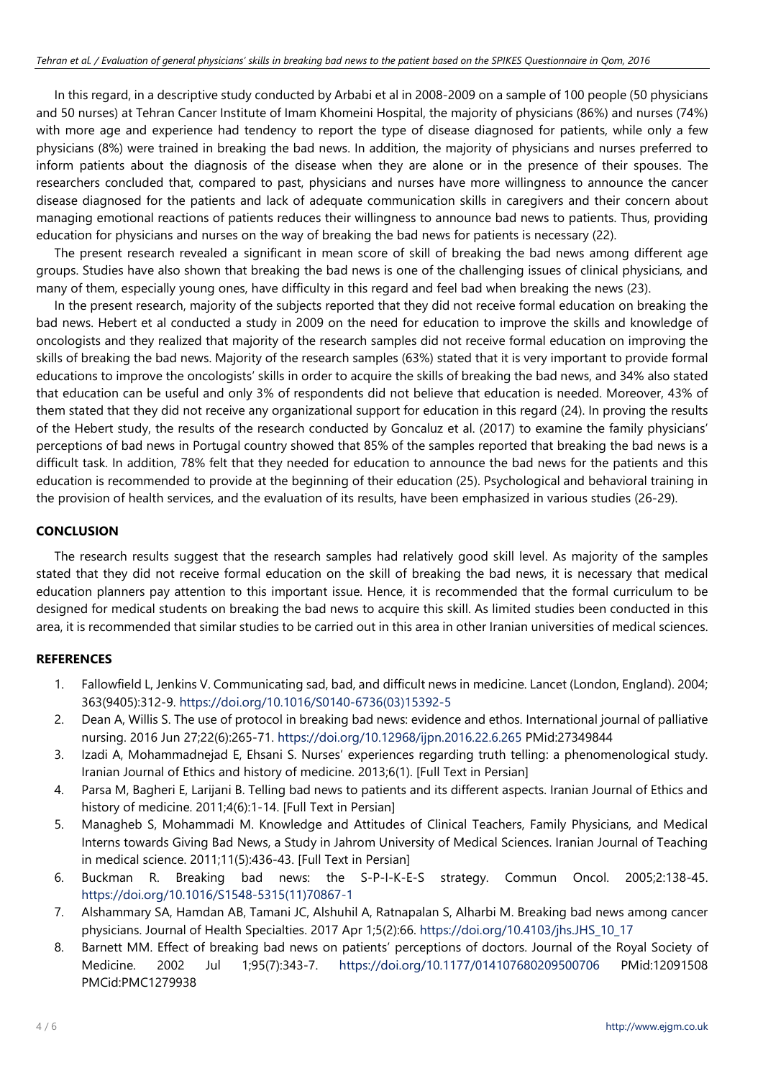In this regard, in a descriptive study conducted by Arbabi et al in 2008-2009 on a sample of 100 people (50 physicians and 50 nurses) at Tehran Cancer Institute of Imam Khomeini Hospital, the majority of physicians (86%) and nurses (74%) with more age and experience had tendency to report the type of disease diagnosed for patients, while only a few physicians (8%) were trained in breaking the bad news. In addition, the majority of physicians and nurses preferred to inform patients about the diagnosis of the disease when they are alone or in the presence of their spouses. The researchers concluded that, compared to past, physicians and nurses have more willingness to announce the cancer disease diagnosed for the patients and lack of adequate communication skills in caregivers and their concern about managing emotional reactions of patients reduces their willingness to announce bad news to patients. Thus, providing education for physicians and nurses on the way of breaking the bad news for patients is necessary (22).

The present research revealed a significant in mean score of skill of breaking the bad news among different age groups. Studies have also shown that breaking the bad news is one of the challenging issues of clinical physicians, and many of them, especially young ones, have difficulty in this regard and feel bad when breaking the news (23).

In the present research, majority of the subjects reported that they did not receive formal education on breaking the bad news. Hebert et al conducted a study in 2009 on the need for education to improve the skills and knowledge of oncologists and they realized that majority of the research samples did not receive formal education on improving the skills of breaking the bad news. Majority of the research samples (63%) stated that it is very important to provide formal educations to improve the oncologists' skills in order to acquire the skills of breaking the bad news, and 34% also stated that education can be useful and only 3% of respondents did not believe that education is needed. Moreover, 43% of them stated that they did not receive any organizational support for education in this regard (24). In proving the results of the Hebert study, the results of the research conducted by Goncaluz et al. (2017) to examine the family physicians' perceptions of bad news in Portugal country showed that 85% of the samples reported that breaking the bad news is a difficult task. In addition, 78% felt that they needed for education to announce the bad news for the patients and this education is recommended to provide at the beginning of their education (25). Psychological and behavioral training in the provision of health services, and the evaluation of its results, have been emphasized in various studies (26-29).

## **CONCLUSION**

The research results suggest that the research samples had relatively good skill level. As majority of the samples stated that they did not receive formal education on the skill of breaking the bad news, it is necessary that medical education planners pay attention to this important issue. Hence, it is recommended that the formal curriculum to be designed for medical students on breaking the bad news to acquire this skill. As limited studies been conducted in this area, it is recommended that similar studies to be carried out in this area in other Iranian universities of medical sciences.

## **REFERENCES**

- 1. Fallowfield L, Jenkins V. Communicating sad, bad, and difficult news in medicine. Lancet (London, England). 2004; 363(9405):312-9. [https://doi.org/10.1016/S0140-6736\(03\)15392-5](https://doi.org/10.1016/S0140-6736(03)15392-5)
- 2. Dean A, Willis S. The use of protocol in breaking bad news: evidence and ethos. International journal of palliative nursing. 2016 Jun 27;22(6):265-71. <https://doi.org/10.12968/ijpn.2016.22.6.265> PMid:27349844
- 3. Izadi A, Mohammadnejad E, Ehsani S. Nurses' experiences regarding truth telling: a phenomenological study. Iranian Journal of Ethics and history of medicine. 2013;6(1). [Full Text in Persian]
- 4. Parsa M, Bagheri E, Larijani B. Telling bad news to patients and its different aspects. Iranian Journal of Ethics and history of medicine. 2011;4(6):1-14. [Full Text in Persian]
- 5. Managheb S, Mohammadi M. Knowledge and Attitudes of Clinical Teachers, Family Physicians, and Medical Interns towards Giving Bad News, a Study in Jahrom University of Medical Sciences. Iranian Journal of Teaching in medical science. 2011;11(5):436-43. [Full Text in Persian]
- 6. Buckman R. Breaking bad news: the S-P-I-K-E-S strategy. Commun Oncol. 2005;2:138-45. [https://doi.org/10.1016/S1548-5315\(11\)70867-1](https://doi.org/10.1016/S1548-5315(11)70867-1)
- 7. Alshammary SA, Hamdan AB, Tamani JC, Alshuhil A, Ratnapalan S, Alharbi M. Breaking bad news among cancer physicians. Journal of Health Specialties. 2017 Apr 1;5(2):66. [https://doi.org/10.4103/jhs.JHS\\_10\\_17](https://doi.org/10.4103/jhs.JHS_10_17)
- 8. Barnett MM. Effect of breaking bad news on patients' perceptions of doctors. Journal of the Royal Society of Medicine. 2002 Jul 1;95(7):343-7. <https://doi.org/10.1177/014107680209500706> PMid:12091508 PMCid:PMC1279938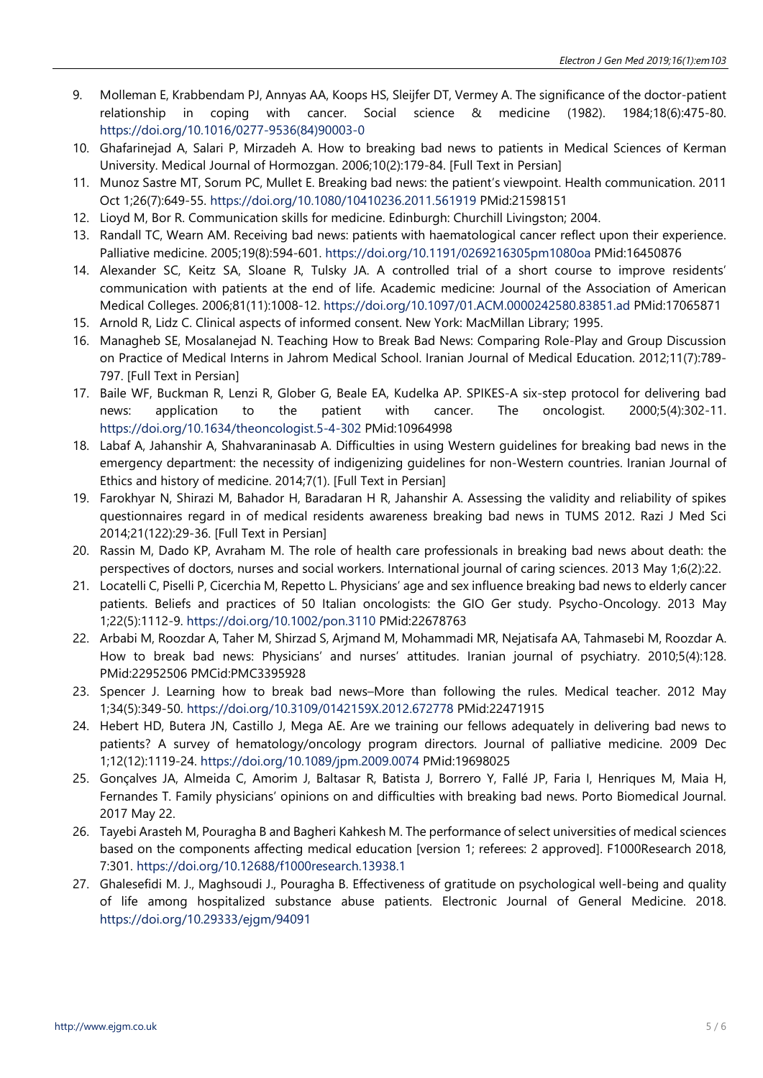- 9. Molleman E, Krabbendam PJ, Annyas AA, Koops HS, Sleijfer DT, Vermey A. The significance of the doctor-patient relationship in coping with cancer. Social science & medicine (1982). 1984;18(6):475-80. [https://doi.org/10.1016/0277-9536\(84\)90003-0](https://doi.org/10.1016/0277-9536(84)90003-0)
- 10. Ghafarinejad A, Salari P, Mirzadeh A. How to breaking bad news to patients in Medical Sciences of Kerman University. Medical Journal of Hormozgan. 2006;10(2):179-84. [Full Text in Persian]
- 11. Munoz Sastre MT, Sorum PC, Mullet E. Breaking bad news: the patient's viewpoint. Health communication. 2011 Oct 1;26(7):649-55. <https://doi.org/10.1080/10410236.2011.561919> PMid:21598151
- 12. Lioyd M, Bor R. Communication skills for medicine. Edinburgh: Churchill Livingston; 2004.
- 13. Randall TC, Wearn AM. Receiving bad news: patients with haematological cancer reflect upon their experience. Palliative medicine. 2005;19(8):594-601. <https://doi.org/10.1191/0269216305pm1080oa> PMid:16450876
- 14. Alexander SC, Keitz SA, Sloane R, Tulsky JA. A controlled trial of a short course to improve residents' communication with patients at the end of life. Academic medicine: Journal of the Association of American Medical Colleges. 2006;81(11):1008-12. <https://doi.org/10.1097/01.ACM.0000242580.83851.ad> PMid:17065871
- 15. Arnold R, Lidz C. Clinical aspects of informed consent. New York: MacMillan Library; 1995.
- 16. Managheb SE, Mosalanejad N. Teaching How to Break Bad News: Comparing Role-Play and Group Discussion on Practice of Medical Interns in Jahrom Medical School. Iranian Journal of Medical Education. 2012;11(7):789- 797. [Full Text in Persian]
- 17. Baile WF, Buckman R, Lenzi R, Glober G, Beale EA, Kudelka AP. SPIKES-A six-step protocol for delivering bad news: application to the patient with cancer. The oncologist. 2000;5(4):302-11. <https://doi.org/10.1634/theoncologist.5-4-302> PMid:10964998
- 18. Labaf A, Jahanshir A, Shahvaraninasab A. Difficulties in using Western guidelines for breaking bad news in the emergency department: the necessity of indigenizing guidelines for non-Western countries. Iranian Journal of Ethics and history of medicine. 2014;7(1). [Full Text in Persian]
- 19. Farokhyar N, Shirazi M, Bahador H, Baradaran H R, Jahanshir A. Assessing the validity and reliability of spikes questionnaires regard in of medical residents awareness breaking bad news in TUMS 2012. Razi J Med Sci 2014;21(122):29-36. [Full Text in Persian]
- 20. Rassin M, Dado KP, Avraham M. The role of health care professionals in breaking bad news about death: the perspectives of doctors, nurses and social workers. International journal of caring sciences. 2013 May 1;6(2):22.
- 21. Locatelli C, Piselli P, Cicerchia M, Repetto L. Physicians' age and sex influence breaking bad news to elderly cancer patients. Beliefs and practices of 50 Italian oncologists: the GIO Ger study. Psycho-Oncology. 2013 May 1;22(5):1112-9. <https://doi.org/10.1002/pon.3110> PMid:22678763
- 22. Arbabi M, Roozdar A, Taher M, Shirzad S, Arjmand M, Mohammadi MR, Nejatisafa AA, Tahmasebi M, Roozdar A. How to break bad news: Physicians' and nurses' attitudes. Iranian journal of psychiatry. 2010;5(4):128. PMid:22952506 PMCid:PMC3395928
- 23. Spencer J. Learning how to break bad news–More than following the rules. Medical teacher. 2012 May 1;34(5):349-50. <https://doi.org/10.3109/0142159X.2012.672778> PMid:22471915
- 24. Hebert HD, Butera JN, Castillo J, Mega AE. Are we training our fellows adequately in delivering bad news to patients? A survey of hematology/oncology program directors. Journal of palliative medicine. 2009 Dec 1;12(12):1119-24. <https://doi.org/10.1089/jpm.2009.0074> PMid:19698025
- 25. Gonçalves JA, Almeida C, Amorim J, Baltasar R, Batista J, Borrero Y, Fallé JP, Faria I, Henriques M, Maia H, Fernandes T. Family physicians' opinions on and difficulties with breaking bad news. Porto Biomedical Journal. 2017 May 22.
- 26. Tayebi Arasteh M, Pouragha B and Bagheri Kahkesh M. The performance of select universities of medical sciences based on the components affecting medical education [version 1; referees: 2 approved]. F1000Research 2018, 7:301. <https://doi.org/10.12688/f1000research.13938.1>
- 27. Ghalesefidi M. J., Maghsoudi J., Pouragha B. Effectiveness of gratitude on psychological well-being and quality of life among hospitalized substance abuse patients. Electronic Journal of General Medicine. 2018. <https://doi.org/10.29333/ejgm/94091>